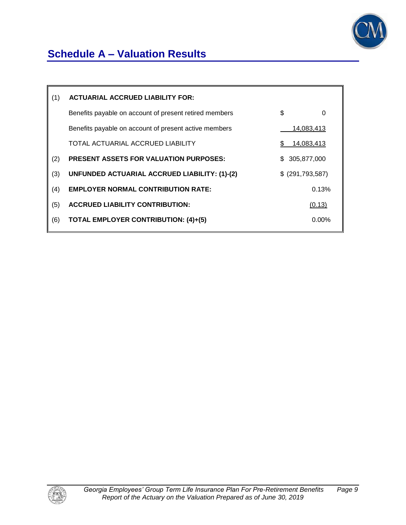

# **Schedule A – Valuation Results**

| (1) | <b>ACTUARIAL ACCRUED LIABILITY FOR:</b>                |                   |
|-----|--------------------------------------------------------|-------------------|
|     | Benefits payable on account of present retired members | \$<br>0           |
|     | Benefits payable on account of present active members  | 14,083,413        |
|     | TOTAL ACTUARIAL ACCRUED LIABILITY                      | <u>14,083,413</u> |
| (2) | <b>PRESENT ASSETS FOR VALUATION PURPOSES:</b>          | \$ 305,877,000    |
| (3) | UNFUNDED ACTUARIAL ACCRUED LIABILITY: (1)-(2)          | $$$ (291,793,587) |
| (4) | <b>EMPLOYER NORMAL CONTRIBUTION RATE:</b>              | 0.13%             |
| (5) | <b>ACCRUED LIABILITY CONTRIBUTION:</b>                 | (0.13)            |
| (6) | <b>TOTAL EMPLOYER CONTRIBUTION: (4)+(5)</b>            | $0.00\%$          |
|     |                                                        |                   |

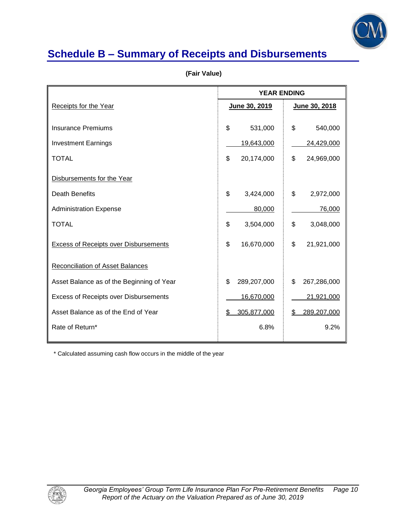

# **Schedule B – Summary of Receipts and Disbursements**

|                                              | <b>YEAR ENDING</b> |                   |
|----------------------------------------------|--------------------|-------------------|
| Receipts for the Year                        | June 30, 2019      | June 30, 2018     |
|                                              |                    |                   |
| <b>Insurance Premiums</b>                    | \$<br>531,000      | \$<br>540,000     |
| <b>Investment Earnings</b>                   | 19,643,000         | 24,429,000        |
| <b>TOTAL</b>                                 | \$<br>20,174,000   | \$<br>24,969,000  |
| Disbursements for the Year                   |                    |                   |
| <b>Death Benefits</b>                        | \$<br>3,424,000    | \$<br>2,972,000   |
| <b>Administration Expense</b>                | 80,000             | 76,000            |
| <b>TOTAL</b>                                 | \$<br>3,504,000    | \$<br>3,048,000   |
| <b>Excess of Receipts over Disbursements</b> | \$<br>16,670,000   | \$<br>21,921,000  |
| Reconciliation of Asset Balances             |                    |                   |
| Asset Balance as of the Beginning of Year    | \$<br>289,207,000  | \$<br>267,286,000 |
| Excess of Receipts over Disbursements        | 16,670,000         | 21,921,000        |
| Asset Balance as of the End of Year          | 305,877,000<br>S.  | 289,207,000<br>S  |
| Rate of Return*                              | 6.8%               | 9.2%              |
|                                              |                    |                   |

 **(Fair Value)** 

\* Calculated assuming cash flow occurs in the middle of the year

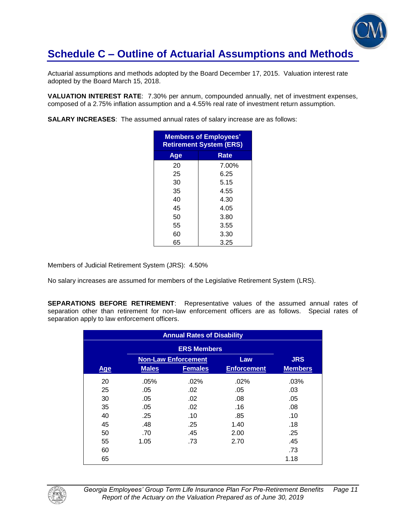

Actuarial assumptions and methods adopted by the Board December 17, 2015. Valuation interest rate adopted by the Board March 15, 2018.

**VALUATION INTEREST RATE**: 7.30% per annum, compounded annually, net of investment expenses, composed of a 2.75% inflation assumption and a 4.55% real rate of investment return assumption.

**SALARY INCREASES**: The assumed annual rates of salary increase are as follows:

| <b>Members of Employees'</b><br><b>Retirement System (ERS)</b> |       |  |  |
|----------------------------------------------------------------|-------|--|--|
| Age                                                            | Rate  |  |  |
| 20                                                             | 7.00% |  |  |
| 25                                                             | 6.25  |  |  |
| 30                                                             | 5.15  |  |  |
| 35                                                             | 4.55  |  |  |
| 40                                                             | 4.30  |  |  |
| 45                                                             | 4.05  |  |  |
| 50                                                             | 3.80  |  |  |
| 55                                                             | 3.55  |  |  |
| 60                                                             | 3.30  |  |  |
| 65                                                             | 3.25  |  |  |

Members of Judicial Retirement System (JRS): 4.50%

No salary increases are assumed for members of the Legislative Retirement System (LRS).

**SEPARATIONS BEFORE RETIREMENT**: Representative values of the assumed annual rates of separation other than retirement for non-law enforcement officers are as follows. Special rates of separation apply to law enforcement officers.

| <b>Annual Rates of Disability</b> |              |                            |                    |                |  |
|-----------------------------------|--------------|----------------------------|--------------------|----------------|--|
|                                   |              |                            |                    |                |  |
|                                   |              | <b>Non-Law Enforcement</b> | Law                | <b>JRS</b>     |  |
| <b>Age</b>                        | <b>Males</b> | <b>Females</b>             | <b>Enforcement</b> | <b>Members</b> |  |
| 20                                | .05%         | .02%                       | $.02\%$            | .03%           |  |
| 25                                | .05          | .02                        | .05                | .03            |  |
| 30                                | .05          | .02                        | .08                | .05            |  |
| 35                                | .05          | .02                        | .16                | .08            |  |
| 40                                | .25          | .10                        | .85                | .10            |  |
| 45                                | .48          | .25                        | 1.40               | .18            |  |
| 50                                | .70          | .45                        | 2.00               | .25            |  |
| 55                                | 1.05         | .73                        | 2.70               | .45            |  |
| 60                                |              |                            |                    | .73            |  |
| 65                                |              |                            |                    | 1.18           |  |

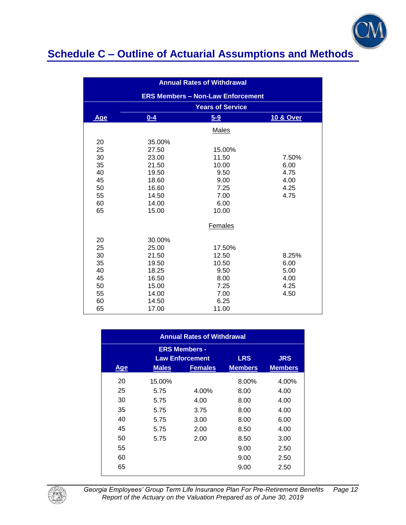

| <b>Annual Rates of Withdrawal</b> |        |                                          |                      |  |
|-----------------------------------|--------|------------------------------------------|----------------------|--|
|                                   |        | <b>ERS Members - Non-Law Enforcement</b> |                      |  |
|                                   |        | <b>Years of Service</b>                  |                      |  |
| <b>Age</b>                        | $0-4$  | $5 - 9$                                  | <b>10 &amp; Over</b> |  |
|                                   |        | Males                                    |                      |  |
| 20                                | 35.00% |                                          |                      |  |
| 25                                | 27.50  | 15.00%                                   |                      |  |
| 30                                | 23.00  | 11.50                                    | 7.50%                |  |
| 35                                | 21.50  | 10.00                                    | 6.00                 |  |
| 40                                | 19.50  | 9.50                                     | 4.75                 |  |
| 45                                | 18.60  | 9.00                                     | 4.00                 |  |
| 50                                | 16.60  | 7.25                                     | 4.25                 |  |
| 55                                | 14.50  | 7.00                                     | 4.75                 |  |
| 60                                | 14.00  | 6.00                                     |                      |  |
| 65                                | 15.00  | 10.00                                    |                      |  |
|                                   |        | Females                                  |                      |  |
| 20                                | 30.00% |                                          |                      |  |
| 25                                | 25.00  | 17.50%                                   |                      |  |
| 30                                | 21.50  | 12.50                                    | 8.25%                |  |
| 35                                | 19.50  | 10.50                                    | 6.00                 |  |
| 40                                | 18.25  | 9.50                                     | 5.00                 |  |
| 45                                | 16.50  | 8.00                                     | 4.00                 |  |
| 50                                | 15.00  | 7.25                                     | 4.25                 |  |
| 55                                | 14.00  | 7.00                                     | 4.50                 |  |
| 60                                | 14.50  | 6.25                                     |                      |  |
| 65                                | 17.00  | 11.00                                    |                      |  |

| <b>Annual Rates of Withdrawal</b>                                          |              |                |                |                |  |  |  |
|----------------------------------------------------------------------------|--------------|----------------|----------------|----------------|--|--|--|
| <b>ERS Members -</b><br><b>LRS</b><br><b>JRS</b><br><b>Law Enforcement</b> |              |                |                |                |  |  |  |
| <b>Age</b>                                                                 | <b>Males</b> | <b>Females</b> | <b>Members</b> | <b>Members</b> |  |  |  |
| 20                                                                         | 15.00%       |                | 8.00%          | 4.00%          |  |  |  |
| 25                                                                         | 5.75         | 4.00%          | 8.00           | 4.00           |  |  |  |
| 30                                                                         | 5.75         | 4.00           | 8.00           | 4.00           |  |  |  |
| 35                                                                         | 5.75         | 3.75           | 8.00           | 4.00           |  |  |  |
| 40                                                                         | 5.75         | 3.00           | 8.00           | 6.00           |  |  |  |
| 45                                                                         | 5.75         | 2.00           | 8.50           | 4.00           |  |  |  |
| 50                                                                         | 5.75         | 2.00           | 8.50           | 3.00           |  |  |  |
| 55                                                                         |              |                | 9.00           | 2.50           |  |  |  |
| 60                                                                         |              |                | 9.00           | 2.50           |  |  |  |
| 65                                                                         |              |                | 9.00           | 2.50           |  |  |  |



*Georgia Employees' Group Term Life Insurance Plan For Pre-Retirement Benefits Page 12 Report of the Actuary on the Valuation Prepared as of June 30, 2019*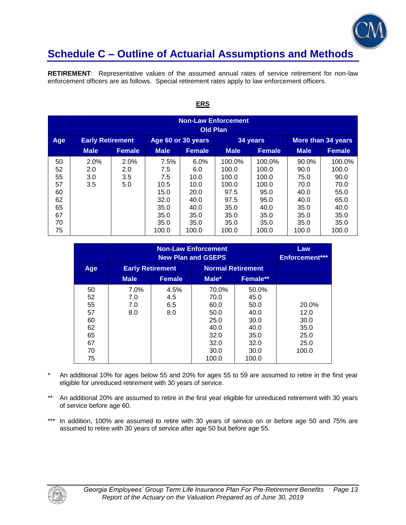

**RETIREMENT**: Representative values of the assumed annual rates of service retirement for non-law enforcement officers are as follows. Special retirement rates apply to law enforcement officers.

|                                                          | <b>Non-Law Enforcement</b><br><b>Old Plan</b> |                           |                                                                             |                                                                              |                                                                                    |                                                                                    |                                                                                |                                                                                  |
|----------------------------------------------------------|-----------------------------------------------|---------------------------|-----------------------------------------------------------------------------|------------------------------------------------------------------------------|------------------------------------------------------------------------------------|------------------------------------------------------------------------------------|--------------------------------------------------------------------------------|----------------------------------------------------------------------------------|
| Age                                                      | <b>Early Retirement</b>                       |                           | Age 60 or 30 years                                                          |                                                                              |                                                                                    | 34 years                                                                           | More than 34 years                                                             |                                                                                  |
|                                                          | <b>Male</b>                                   | <b>Female</b>             | <b>Male</b>                                                                 | <b>Female</b>                                                                | <b>Male</b>                                                                        | <b>Female</b>                                                                      | <b>Male</b>                                                                    | <b>Female</b>                                                                    |
| 50<br>52<br>55<br>57<br>60<br>62<br>65<br>67<br>70<br>75 | 2.0%<br>2.0<br>3.0<br>3.5                     | 2.0%<br>2.0<br>3.5<br>5.0 | 7.5%<br>7.5<br>7.5<br>10.5<br>15.0<br>32.0<br>35.0<br>35.0<br>35.0<br>100.0 | 6.0%<br>6.0<br>10.0<br>10.0<br>20.0<br>40.0<br>40.0<br>35.0<br>35.0<br>100.0 | 100.0%<br>100.0<br>100.0<br>100.0<br>97.5<br>97.5<br>35.0<br>35.0<br>35.0<br>100.0 | 100.0%<br>100.0<br>100.0<br>100.0<br>95.0<br>95.0<br>40.0<br>35.0<br>35.0<br>100.0 | 90.0%<br>90.0<br>75.0<br>70.0<br>40.0<br>40.0<br>35.0<br>35.0<br>35.0<br>100.0 | 100.0%<br>100.0<br>90.0<br>70.0<br>55.0<br>65.0<br>40.0<br>35.0<br>35.0<br>100.0 |

### **ERS**

|                                                          |                           | Law<br>Enforcement***     |                                                                                |                                                                                |                                                        |
|----------------------------------------------------------|---------------------------|---------------------------|--------------------------------------------------------------------------------|--------------------------------------------------------------------------------|--------------------------------------------------------|
| Age                                                      | <b>Early Retirement</b>   |                           | <b>Normal Retirement</b>                                                       |                                                                                |                                                        |
|                                                          | <b>Male</b>               | <b>Female</b>             | Male*                                                                          | Female**                                                                       |                                                        |
| 50<br>52<br>55<br>57<br>60<br>62<br>65<br>67<br>70<br>75 | 7.0%<br>7.0<br>7.0<br>8.0 | 4.5%<br>4.5<br>6.5<br>8.0 | 70.0%<br>70.0<br>60.0<br>50.0<br>25.0<br>40.0<br>32.0<br>32.0<br>30.0<br>100.0 | 50.0%<br>45.0<br>50.0<br>40.0<br>30.0<br>40.0<br>35.0<br>32.0<br>30.0<br>100.0 | 20.0%<br>12.0<br>30.0<br>35.0<br>25.0<br>25.0<br>100.0 |

- \* An additional 10% for ages below 55 and 20% for ages 55 to 59 are assumed to retire in the first year eligible for unreduced retirement with 30 years of service.
- \*\* An additional 20% are assumed to retire in the first year eligible for unreduced retirement with 30 years of service before age 60.
- \*\*\* In addition, 100% are assumed to retire with 30 years of service on or before age 50 and 75% are assumed to retire with 30 years of service after age 50 but before age 55.

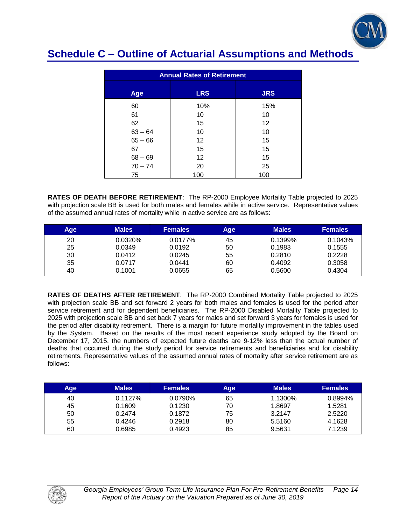

| <b>Annual Rates of Retirement</b> |                   |            |  |  |  |
|-----------------------------------|-------------------|------------|--|--|--|
| Age                               | <b>LRS</b>        | <b>JRS</b> |  |  |  |
| 60                                | 10%               | 15%        |  |  |  |
| 61                                | 10                | 10         |  |  |  |
| 62                                | 15                | 12         |  |  |  |
| $63 - 64$                         | 10                | 10         |  |  |  |
| $65 - 66$                         | $12 \overline{ }$ | 15         |  |  |  |
| 67                                | 15                | 15         |  |  |  |
| $68 - 69$                         | $12 \overline{ }$ | 15         |  |  |  |
| $70 - 74$                         | 20                | 25         |  |  |  |
| 75                                | 100               | 100        |  |  |  |

**RATES OF DEATH BEFORE RETIREMENT**: The RP-2000 Employee Mortality Table projected to 2025 with projection scale BB is used for both males and females while in active service. Representative values of the assumed annual rates of mortality while in active service are as follows:

| Age | <b>Males</b> | <b>Females</b> | Age | <b>Males</b> | <b>Females</b> |
|-----|--------------|----------------|-----|--------------|----------------|
| 20  | 0.0320%      | 0.0177%        | 45  | 0.1399%      | 0.1043%        |
| 25  | 0.0349       | 0.0192         | 50  | 0.1983       | 0.1555         |
| 30  | 0.0412       | 0.0245         | 55  | 0.2810       | 0.2228         |
| 35  | 0.0717       | 0.0441         | 60  | 0.4092       | 0.3058         |
| 40  | 0.1001       | 0.0655         | 65  | 0.5600       | 0.4304         |

**RATES OF DEATHS AFTER RETIREMENT**: The RP-2000 Combined Mortality Table projected to 2025 with projection scale BB and set forward 2 years for both males and females is used for the period after service retirement and for dependent beneficiaries. The RP-2000 Disabled Mortality Table projected to 2025 with projection scale BB and set back 7 years for males and set forward 3 years for females is used for the period after disability retirement. There is a margin for future mortality improvement in the tables used by the System. Based on the results of the most recent experience study adopted by the Board on December 17, 2015, the numbers of expected future deaths are 9-12% less than the actual number of deaths that occurred during the study period for service retirements and beneficiaries and for disability retirements. Representative values of the assumed annual rates of mortality after service retirement are as follows:

| Age | <b>Males</b> | <b>Females</b> | Age | <b>Males</b> | <b>Females</b> |
|-----|--------------|----------------|-----|--------------|----------------|
| 40  | $0.1127\%$   | 0.0790%        | 65  | 1.1300%      | 0.8994%        |
| 45  | 0.1609       | 0.1230         | 70  | 1.8697       | 1.5281         |
| 50  | 0.2474       | 0.1872         | 75  | 3.2147       | 2.5220         |
| 55  | 0.4246       | 0.2918         | 80  | 5.5160       | 4.1628         |
| 60  | 0.6985       | 0.4923         | 85  | 9.5631       | 7.1239         |

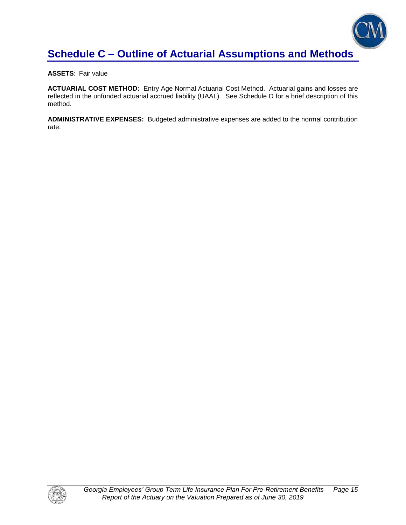

**ASSETS**: Fair value

**ACTUARIAL COST METHOD:** Entry Age Normal Actuarial Cost Method. Actuarial gains and losses are reflected in the unfunded actuarial accrued liability (UAAL). See Schedule D for a brief description of this method.

**ADMINISTRATIVE EXPENSES:** Budgeted administrative expenses are added to the normal contribution rate.

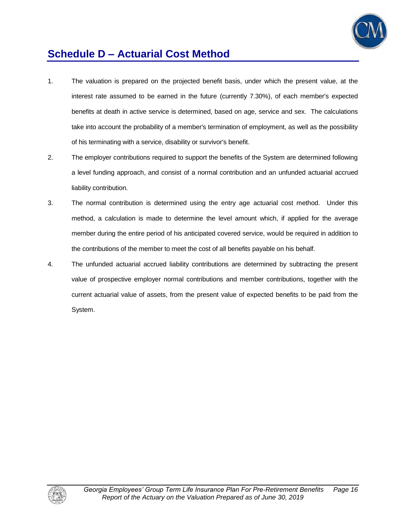

# **Schedule D – Actuarial Cost Method**

- 1. The valuation is prepared on the projected benefit basis, under which the present value, at the interest rate assumed to be earned in the future (currently 7.30%), of each member's expected benefits at death in active service is determined, based on age, service and sex. The calculations take into account the probability of a member's termination of employment, as well as the possibility of his terminating with a service, disability or survivor's benefit.
- 2. The employer contributions required to support the benefits of the System are determined following a level funding approach, and consist of a normal contribution and an unfunded actuarial accrued liability contribution.
- 3. The normal contribution is determined using the entry age actuarial cost method. Under this method, a calculation is made to determine the level amount which, if applied for the average member during the entire period of his anticipated covered service, would be required in addition to the contributions of the member to meet the cost of all benefits payable on his behalf.
- 4. The unfunded actuarial accrued liability contributions are determined by subtracting the present value of prospective employer normal contributions and member contributions, together with the current actuarial value of assets, from the present value of expected benefits to be paid from the System.

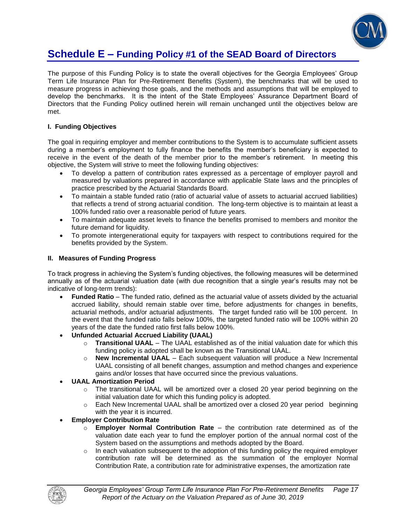

### **Schedule E – Funding Policy #1 of the SEAD Board of Directors**

The purpose of this Funding Policy is to state the overall objectives for the Georgia Employees' Group Term Life Insurance Plan for Pre-Retirement Benefits (System), the benchmarks that will be used to measure progress in achieving those goals, and the methods and assumptions that will be employed to develop the benchmarks. It is the intent of the State Employees' Assurance Department Board of Directors that the Funding Policy outlined herein will remain unchanged until the objectives below are met.

### **I. Funding Objectives**

The goal in requiring employer and member contributions to the System is to accumulate sufficient assets during a member's employment to fully finance the benefits the member's beneficiary is expected to receive in the event of the death of the member prior to the member's retirement. In meeting this objective, the System will strive to meet the following funding objectives:

- To develop a pattern of contribution rates expressed as a percentage of employer payroll and measured by valuations prepared in accordance with applicable State laws and the principles of practice prescribed by the Actuarial Standards Board.
- To maintain a stable funded ratio (ratio of actuarial value of assets to actuarial accrued liabilities) that reflects a trend of strong actuarial condition. The long-term objective is to maintain at least a 100% funded ratio over a reasonable period of future years.
- To maintain adequate asset levels to finance the benefits promised to members and monitor the future demand for liquidity.
- To promote intergenerational equity for taxpayers with respect to contributions required for the benefits provided by the System.

#### **II. Measures of Funding Progress**

To track progress in achieving the System's funding objectives, the following measures will be determined annually as of the actuarial valuation date (with due recognition that a single year's results may not be indicative of long-term trends):

- **Funded Ratio** The funded ratio, defined as the actuarial value of assets divided by the actuarial accrued liability, should remain stable over time, before adjustments for changes in benefits, actuarial methods, and/or actuarial adjustments. The target funded ratio will be 100 percent. In the event that the funded ratio falls below 100%, the targeted funded ratio will be 100% within 20 years of the date the funded ratio first falls below 100%.
- **Unfunded Actuarial Accrued Liability (UAAL)**
	- o **Transitional UAAL** The UAAL established as of the initial valuation date for which this funding policy is adopted shall be known as the Transitional UAAL.
	- o **New Incremental UAAL** Each subsequent valuation will produce a New Incremental UAAL consisting of all benefit changes, assumption and method changes and experience gains and/or losses that have occurred since the previous valuations.
- **UAAL Amortization Period** 
	- o The transitional UAAL will be amortized over a closed 20 year period beginning on the initial valuation date for which this funding policy is adopted.
	- $\circ$  Each New Incremental UAAL shall be amortized over a closed 20 year period beginning with the year it is incurred.
- **Employer Contribution Rate**
	- o **Employer Normal Contribution Rate**  the contribution rate determined as of the valuation date each year to fund the employer portion of the annual normal cost of the System based on the assumptions and methods adopted by the Board.
	- $\circ$  In each valuation subsequent to the adoption of this funding policy the required employer contribution rate will be determined as the summation of the employer Normal Contribution Rate, a contribution rate for administrative expenses, the amortization rate

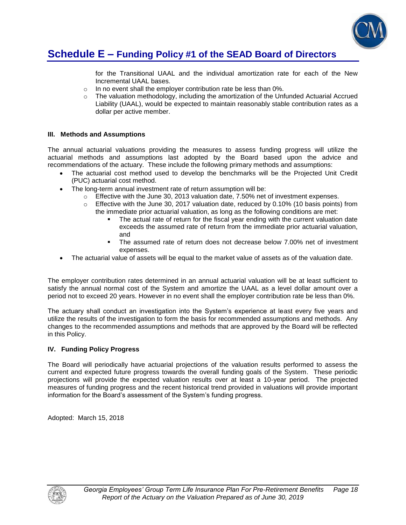

### **Schedule E – Funding Policy #1 of the SEAD Board of Directors**

for the Transitional UAAL and the individual amortization rate for each of the New Incremental UAAL bases.

- o In no event shall the employer contribution rate be less than 0%.
- $\circ$  The valuation methodology, including the amortization of the Unfunded Actuarial Accrued Liability (UAAL), would be expected to maintain reasonably stable contribution rates as a dollar per active member.

### **III. Methods and Assumptions**

The annual actuarial valuations providing the measures to assess funding progress will utilize the actuarial methods and assumptions last adopted by the Board based upon the advice and recommendations of the actuary. These include the following primary methods and assumptions:

- The actuarial cost method used to develop the benchmarks will be the Projected Unit Credit (PUC) actuarial cost method.
- The long-term annual investment rate of return assumption will be:
	- $\circ$  Effective with the June 30, 2013 valuation date, 7.50% net of investment expenses.
	- o Effective with the June 30, 2017 valuation date, reduced by 0.10% (10 basis points) from the immediate prior actuarial valuation, as long as the following conditions are met:
		- The actual rate of return for the fiscal year ending with the current valuation date exceeds the assumed rate of return from the immediate prior actuarial valuation, and
		- The assumed rate of return does not decrease below 7.00% net of investment expenses.
- The actuarial value of assets will be equal to the market value of assets as of the valuation date.

The employer contribution rates determined in an annual actuarial valuation will be at least sufficient to satisfy the annual normal cost of the System and amortize the UAAL as a level dollar amount over a period not to exceed 20 years. However in no event shall the employer contribution rate be less than 0%.

The actuary shall conduct an investigation into the System's experience at least every five years and utilize the results of the investigation to form the basis for recommended assumptions and methods. Any changes to the recommended assumptions and methods that are approved by the Board will be reflected in this Policy.

### **IV. Funding Policy Progress**

The Board will periodically have actuarial projections of the valuation results performed to assess the current and expected future progress towards the overall funding goals of the System. These periodic projections will provide the expected valuation results over at least a 10-year period. The projected measures of funding progress and the recent historical trend provided in valuations will provide important information for the Board's assessment of the System's funding progress.

Adopted: March 15, 2018

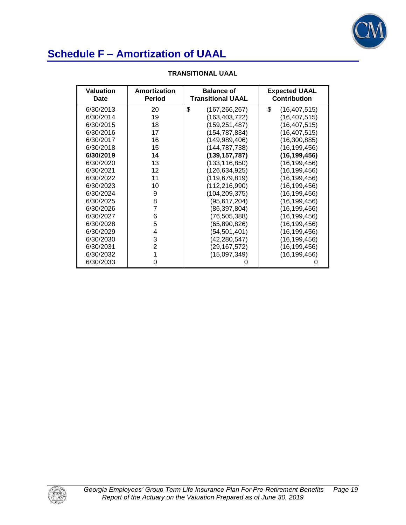

| <b>Valuation</b><br>Date | Amortization<br><b>Period</b> | <b>Balance of</b><br><b>Transitional UAAL</b> | <b>Expected UAAL</b><br><b>Contribution</b> |
|--------------------------|-------------------------------|-----------------------------------------------|---------------------------------------------|
| 6/30/2013                | 20                            | \$<br>(167,266,267)                           | \$<br>(16, 407, 515)                        |
| 6/30/2014                | 19                            | (163, 403, 722)                               | (16, 407, 515)                              |
| 6/30/2015                | 18                            | (159,251,487)                                 | (16, 407, 515)                              |
| 6/30/2016                | 17                            | (154, 787, 834)                               | (16, 407, 515)                              |
| 6/30/2017                | 16                            | (149, 989, 406)                               | (16, 300, 885)                              |
| 6/30/2018                | 15                            | (144, 787, 738)                               | (16, 199, 456)                              |
| 6/30/2019                | 14                            | (139, 157, 787)                               | (16, 199, 456)                              |
| 6/30/2020                | 13                            | (133, 116, 850)                               | (16, 199, 456)                              |
| 6/30/2021                | 12                            | (126,634,925)                                 | (16, 199, 456)                              |
| 6/30/2022                | 11                            | (119,679,819)                                 | (16, 199, 456)                              |
| 6/30/2023                | 10                            | (112, 216, 990)                               | (16, 199, 456)                              |
| 6/30/2024                | 9                             | (104, 209, 375)                               | (16, 199, 456)                              |
| 6/30/2025                | 8                             | (95, 617, 204)                                | (16, 199, 456)                              |
| 6/30/2026                | 7                             | (86, 397, 804)                                | (16, 199, 456)                              |
| 6/30/2027                | 6                             | (76,505,388)                                  | (16, 199, 456)                              |
| 6/30/2028                | 5                             | (65,890,826)                                  | (16, 199, 456)                              |
| 6/30/2029                | 4                             | (54, 501, 401)                                | (16, 199, 456)                              |
| 6/30/2030                | 3                             | (42, 280, 547)                                | (16, 199, 456)                              |
| 6/30/2031                | $\overline{2}$                | (29,167,572)                                  | (16, 199, 456)                              |
| 6/30/2032                | 1                             | (15,097,349)                                  | (16, 199, 456)                              |
| 6/30/2033                | 0                             |                                               |                                             |

### **TRANSITIONAL UAAL**

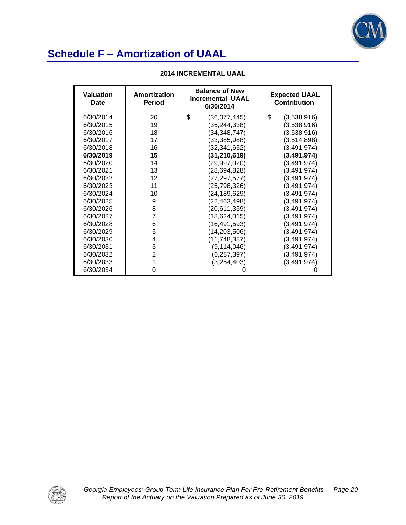

| <b>Valuation</b><br>Date | Amortization<br><b>Period</b> | <b>Balance of New</b><br><b>Incremental UAAL</b><br>6/30/2014 | <b>Expected UAAL</b><br><b>Contribution</b> |  |
|--------------------------|-------------------------------|---------------------------------------------------------------|---------------------------------------------|--|
| 6/30/2014                | 20                            | \$<br>(36,077,445)                                            | \$<br>(3,538,916)                           |  |
| 6/30/2015                | 19                            | (35,244,338)                                                  | (3,538,916)                                 |  |
| 6/30/2016                | 18                            | (34, 348, 747)                                                | (3,538,916)                                 |  |
| 6/30/2017                | 17                            | (33,385,988)                                                  | (3,514,898)                                 |  |
| 6/30/2018                | 16                            | (32,341,652)                                                  | (3,491,974)                                 |  |
| 6/30/2019                | 15                            | (31,210,619)                                                  | (3,491,974)                                 |  |
| 6/30/2020                | 14                            | (29,997,020)                                                  | (3,491,974)                                 |  |
| 6/30/2021                | 13                            | (28,694,828)                                                  | (3,491,974)                                 |  |
| 6/30/2022                | 12                            | (27, 297, 577)                                                | (3,491,974)                                 |  |
| 6/30/2023                | 11                            | (25,798,326)                                                  | (3,491,974)                                 |  |
| 6/30/2024                | 10                            | (24,189,629)                                                  | (3,491,974)                                 |  |
| 6/30/2025                | 9                             | (22,463,498)                                                  | (3,491,974)                                 |  |
| 6/30/2026                | 8                             | (20,611,359)                                                  | (3,491,974)                                 |  |
| 6/30/2027                | 7                             | (18,624,015)                                                  | (3,491,974)                                 |  |
| 6/30/2028                | 6                             | (16,491,593)                                                  | (3, 491, 974)                               |  |
| 6/30/2029                | 5                             | (14,203,506)                                                  | (3,491,974)                                 |  |
| 6/30/2030                | 4                             | (11, 748, 387)                                                | (3,491,974)                                 |  |
| 6/30/2031                | 3                             | (9, 114, 046)                                                 | (3,491,974)                                 |  |
| 6/30/2032                | $\overline{2}$                | (6,287,397)                                                   | (3,491,974)                                 |  |
| 6/30/2033                | 1                             | (3,254,403)                                                   | (3,491,974)                                 |  |
| 6/30/2034                | 0                             |                                                               |                                             |  |

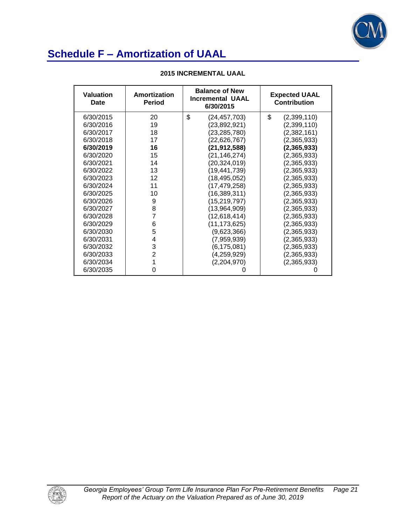

| <b>Valuation</b><br>Date | Amortization<br><b>Period</b> | <b>Balance of New</b><br><b>Incremental UAAL</b><br>6/30/2015 | <b>Expected UAAL</b><br><b>Contribution</b> |  |
|--------------------------|-------------------------------|---------------------------------------------------------------|---------------------------------------------|--|
| 6/30/2015                | 20                            | \$<br>(24,457,703)                                            | \$<br>(2,399,110)                           |  |
| 6/30/2016                | 19                            | (23,892,921)                                                  | (2,399,110)                                 |  |
| 6/30/2017                | 18                            | (23,285,780)                                                  | (2,382,161)                                 |  |
| 6/30/2018                | 17                            | (22, 626, 767)                                                | (2,365,933)                                 |  |
| 6/30/2019                | 16                            | (21,912,588)                                                  | (2,365,933)                                 |  |
| 6/30/2020                | 15                            | (21, 146, 274)                                                | (2,365,933)                                 |  |
| 6/30/2021                | 14                            | (20, 324, 019)                                                | (2,365,933)                                 |  |
| 6/30/2022                | 13                            | (19, 441, 739)                                                | (2,365,933)                                 |  |
| 6/30/2023                | 12                            | (18, 495, 052)                                                | (2,365,933)                                 |  |
| 6/30/2024                | 11                            | (17, 479, 258)                                                | (2,365,933)                                 |  |
| 6/30/2025                | 10                            | (16, 389, 311)                                                | (2,365,933)                                 |  |
| 6/30/2026                | 9                             | (15, 219, 797)                                                | (2,365,933)                                 |  |
| 6/30/2027                | 8                             | (13,964,909)                                                  | (2,365,933)                                 |  |
| 6/30/2028                | $\overline{7}$                | (12,618,414)                                                  | (2,365,933)                                 |  |
| 6/30/2029                | 6                             | (11, 173, 625)                                                | (2,365,933)                                 |  |
| 6/30/2030                | 5                             | (9,623,366)                                                   | (2,365,933)                                 |  |
| 6/30/2031                | 4                             | (7,959,939)                                                   | (2,365,933)                                 |  |
| 6/30/2032                | 3                             | (6,175,081)                                                   | (2,365,933)                                 |  |
| 6/30/2033                | $\overline{2}$                | (4,259,929)                                                   | (2,365,933)                                 |  |
| 6/30/2034                | 1                             | (2,204,970)                                                   | (2,365,933)                                 |  |
| 6/30/2035                | 0                             |                                                               |                                             |  |

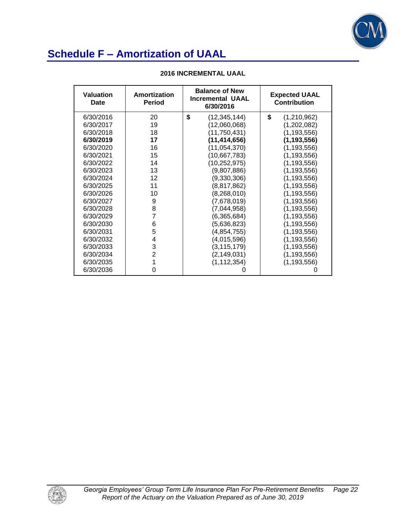

| <b>Valuation</b><br>Date | Amortization<br><b>Period</b> | <b>Balance of New</b><br><b>Incremental UAAL</b><br>6/30/2016 | <b>Expected UAAL</b><br><b>Contribution</b> |  |
|--------------------------|-------------------------------|---------------------------------------------------------------|---------------------------------------------|--|
| 6/30/2016                | 20                            | \$<br>(12, 345, 144)                                          | \$<br>(1,210,962)                           |  |
| 6/30/2017                | 19                            | (12,060,068)                                                  | (1,202,082)                                 |  |
| 6/30/2018                | 18                            | (11, 750, 431)                                                | (1, 193, 556)                               |  |
| 6/30/2019                | 17                            | (11, 414, 656)                                                | (1, 193, 556)                               |  |
| 6/30/2020                | 16                            | (11, 054, 370)                                                | (1, 193, 556)                               |  |
| 6/30/2021                | 15                            | (10,667,783)                                                  | (1, 193, 556)                               |  |
| 6/30/2022                | 14                            | (10, 252, 975)                                                | (1, 193, 556)                               |  |
| 6/30/2023                | 13                            | (9,807,886)                                                   | (1, 193, 556)                               |  |
| 6/30/2024                | 12                            | (9,330,306)                                                   | (1, 193, 556)                               |  |
| 6/30/2025                | 11                            | (8,817,862)                                                   | (1, 193, 556)                               |  |
| 6/30/2026                | 10                            | (8, 268, 010)                                                 | (1, 193, 556)                               |  |
| 6/30/2027                | 9                             | (7,678,019)                                                   | (1, 193, 556)                               |  |
| 6/30/2028                | 8                             | (7,044,958)                                                   | (1, 193, 556)                               |  |
| 6/30/2029                | 7                             | (6,365,684)                                                   | (1, 193, 556)                               |  |
| 6/30/2030                | 6                             | (5,636,823)                                                   | (1, 193, 556)                               |  |
| 6/30/2031                | 5                             | (4, 854, 755)                                                 | (1, 193, 556)                               |  |
| 6/30/2032                | 4                             | (4,015,596)                                                   | (1, 193, 556)                               |  |
| 6/30/2033                | 3                             | (3, 115, 179)                                                 | (1, 193, 556)                               |  |
| 6/30/2034                | $\overline{2}$                | (2, 149, 031)                                                 | (1, 193, 556)                               |  |
| 6/30/2035                | 1                             | (1, 112, 354)                                                 | (1, 193, 556)                               |  |
| 6/30/2036                | 0                             | O                                                             |                                             |  |

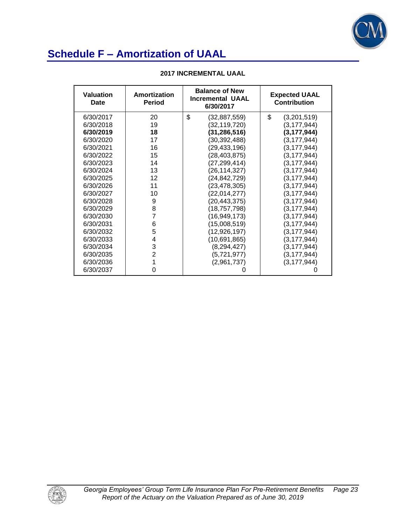

| <b>Valuation</b><br>Date | Amortization<br><b>Period</b> | <b>Balance of New</b><br><b>Incremental UAAL</b><br>6/30/2017 | <b>Expected UAAL</b><br><b>Contribution</b> |  |
|--------------------------|-------------------------------|---------------------------------------------------------------|---------------------------------------------|--|
| 6/30/2017                | 20                            | \$<br>(32, 887, 559)                                          | \$<br>(3,201,519)                           |  |
| 6/30/2018                | 19                            | (32, 119, 720)                                                | (3, 177, 944)                               |  |
| 6/30/2019                | 18                            | (31, 286, 516)                                                | (3, 177, 944)                               |  |
| 6/30/2020                | 17                            | (30, 392, 488)                                                | (3, 177, 944)                               |  |
| 6/30/2021                | 16                            | (29, 433, 196)                                                | (3, 177, 944)                               |  |
| 6/30/2022                | 15                            | (28, 403, 875)                                                | (3, 177, 944)                               |  |
| 6/30/2023                | 14                            | (27, 299, 414)                                                | (3, 177, 944)                               |  |
| 6/30/2024                | 13                            | (26, 114, 327)                                                | (3, 177, 944)                               |  |
| 6/30/2025                | 12                            | (24, 842, 729)                                                | (3, 177, 944)                               |  |
| 6/30/2026                | 11                            | (23, 478, 305)                                                | (3, 177, 944)                               |  |
| 6/30/2027                | 10                            | (22,014,277)                                                  | (3, 177, 944)                               |  |
| 6/30/2028                | 9                             | (20, 443, 375)                                                | (3, 177, 944)                               |  |
| 6/30/2029                | 8                             | (18, 757, 798)                                                | (3, 177, 944)                               |  |
| 6/30/2030                | 7                             | (16, 949, 173)                                                | (3, 177, 944)                               |  |
| 6/30/2031                | 6                             | (15,008,519)                                                  | (3, 177, 944)                               |  |
| 6/30/2032                | 5                             | (12, 926, 197)                                                | (3, 177, 944)                               |  |
| 6/30/2033                | 4                             | (10,691,865)                                                  | (3, 177, 944)                               |  |
| 6/30/2034                | 3                             | (8, 294, 427)                                                 | (3, 177, 944)                               |  |
| 6/30/2035                | $\overline{2}$                | (5,721,977)                                                   | (3, 177, 944)                               |  |
| 6/30/2036                | 1                             | (2,961,737)                                                   | (3, 177, 944)                               |  |
| 6/30/2037                | 0                             |                                                               |                                             |  |

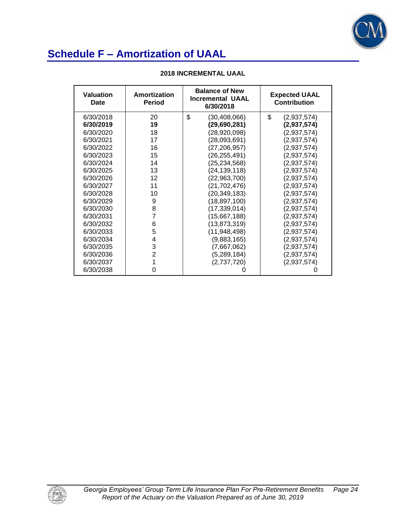

| <b>Valuation</b><br>Date | Amortization<br><b>Period</b> | <b>Balance of New</b><br><b>Incremental UAAL</b><br>6/30/2018 | <b>Expected UAAL</b><br><b>Contribution</b> |  |
|--------------------------|-------------------------------|---------------------------------------------------------------|---------------------------------------------|--|
| 6/30/2018                | 20                            | \$<br>(30,408,066)                                            | \$<br>(2,937,574)                           |  |
| 6/30/2019                | 19                            | (29,690,281)                                                  | (2,937,574)                                 |  |
| 6/30/2020                | 18                            | (28,920,098)                                                  | (2,937,574)                                 |  |
| 6/30/2021                | 17                            | (28,093,691)                                                  | (2,937,574)                                 |  |
| 6/30/2022                | 16                            | (27,206,957)                                                  | (2,937,574)                                 |  |
| 6/30/2023                | 15                            | (26,255,491)                                                  | (2,937,574)                                 |  |
| 6/30/2024                | 14                            | (25,234,568)                                                  | (2,937,574)                                 |  |
| 6/30/2025                | 13                            | (24,139,118)                                                  | (2,937,574)                                 |  |
| 6/30/2026                | 12                            | (22,963,700)                                                  | (2,937,574)                                 |  |
| 6/30/2027                | 11                            | (21, 702, 476)                                                | (2,937,574)                                 |  |
| 6/30/2028                | 10                            | (20, 349, 183)                                                | (2,937,574)                                 |  |
| 6/30/2029                | 9                             | (18,897,100)                                                  | (2,937,574)                                 |  |
| 6/30/2030                | 8                             | (17,339,014)                                                  | (2,937,574)                                 |  |
| 6/30/2031                | 7                             | (15,667,188)                                                  | (2,937,574)                                 |  |
| 6/30/2032                | 6                             | (13,873,319)                                                  | (2,937,574)                                 |  |
| 6/30/2033                | 5                             | (11,948,498)                                                  | (2,937,574)                                 |  |
| 6/30/2034                | 4                             | (9,883,165)                                                   | (2,937,574)                                 |  |
| 6/30/2035                | 3                             | (7,667,062)                                                   | (2,937,574)                                 |  |
| 6/30/2036                | $\overline{2}$                | (5,289,184)                                                   | (2,937,574)                                 |  |
| 6/30/2037                | 1                             | (2,737,720)                                                   | (2,937,574)                                 |  |
| 6/30/2038                | 0                             |                                                               |                                             |  |

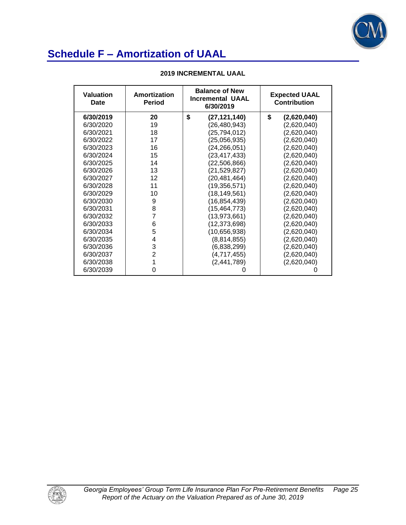

| Valuation<br><b>Date</b> | Amortization<br><b>Period</b> | <b>Balance of New</b><br><b>Incremental UAAL</b><br>6/30/2019 | <b>Expected UAAL</b><br><b>Contribution</b> |  |
|--------------------------|-------------------------------|---------------------------------------------------------------|---------------------------------------------|--|
| 6/30/2019                | 20                            | \$<br>(27,121,140)                                            | \$<br>(2,620,040)                           |  |
| 6/30/2020                | 19                            | (26, 480, 943)                                                | (2,620,040)                                 |  |
| 6/30/2021                | 18                            | (25, 794, 012)                                                | (2,620,040)                                 |  |
| 6/30/2022                | 17                            | (25,056,935)                                                  | (2,620,040)                                 |  |
| 6/30/2023                | 16                            | (24, 266, 051)                                                | (2,620,040)                                 |  |
| 6/30/2024                | 15                            | (23,417,433)                                                  | (2,620,040)                                 |  |
| 6/30/2025                | 14                            | (22,506,866)                                                  | (2,620,040)                                 |  |
| 6/30/2026                | 13                            | (21,529,827)                                                  | (2,620,040)                                 |  |
| 6/30/2027                | 12                            | (20, 481, 464)                                                | (2,620,040)                                 |  |
| 6/30/2028                | 11                            | (19, 356, 571)                                                | (2,620,040)                                 |  |
| 6/30/2029                | 10                            | (18, 149, 561)                                                | (2,620,040)                                 |  |
| 6/30/2030                | 9                             | (16, 854, 439)                                                | (2,620,040)                                 |  |
| 6/30/2031                | 8                             | (15, 464, 773)                                                | (2,620,040)                                 |  |
| 6/30/2032                | $\overline{7}$                | (13,973,661)                                                  | (2,620,040)                                 |  |
| 6/30/2033                | 6                             | (12, 373, 698)                                                | (2,620,040)                                 |  |
| 6/30/2034                | 5                             | (10,656,938)                                                  | (2,620,040)                                 |  |
| 6/30/2035                | 4                             | (8,814,855)                                                   | (2,620,040)                                 |  |
| 6/30/2036                | 3                             | (6,838,299)                                                   | (2,620,040)                                 |  |
| 6/30/2037                | $\overline{2}$                | (4,717,455)                                                   | (2,620,040)                                 |  |
| 6/30/2038                | 1                             | (2, 441, 789)                                                 | (2,620,040)                                 |  |
| 6/30/2039                | 0                             | O                                                             |                                             |  |

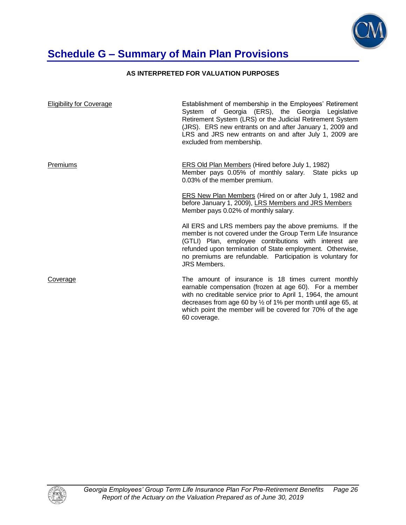

# **Schedule G – Summary of Main Plan Provisions**

### **AS INTERPRETED FOR VALUATION PURPOSES**

| <b>Eligibility for Coverage</b> | Establishment of membership in the Employees' Retirement<br>System of Georgia (ERS), the Georgia Legislative<br>Retirement System (LRS) or the Judicial Retirement System<br>(JRS). ERS new entrants on and after January 1, 2009 and<br>LRS and JRS new entrants on and after July 1, 2009 are<br>excluded from membership.           |
|---------------------------------|----------------------------------------------------------------------------------------------------------------------------------------------------------------------------------------------------------------------------------------------------------------------------------------------------------------------------------------|
| Premiums                        | <b>ERS Old Plan Members (Hired before July 1, 1982)</b><br>Member pays 0.05% of monthly salary. State picks up<br>0.03% of the member premium.                                                                                                                                                                                         |
|                                 | <b>ERS New Plan Members (Hired on or after July 1, 1982 and</b><br>before January 1, 2009), LRS Members and JRS Members<br>Member pays 0.02% of monthly salary.                                                                                                                                                                        |
|                                 | All ERS and LRS members pay the above premiums. If the<br>member is not covered under the Group Term Life Insurance<br>(GTLI) Plan, employee contributions with interest are<br>refunded upon termination of State employment. Otherwise,<br>no premiums are refundable. Participation is voluntary for<br><b>JRS Members.</b>         |
| Coverage                        | The amount of insurance is 18 times current monthly<br>earnable compensation (frozen at age 60). For a member<br>with no creditable service prior to April 1, 1964, the amount<br>decreases from age 60 by $\frac{1}{2}$ of 1% per month until age 65, at<br>which point the member will be covered for 70% of the age<br>60 coverage. |